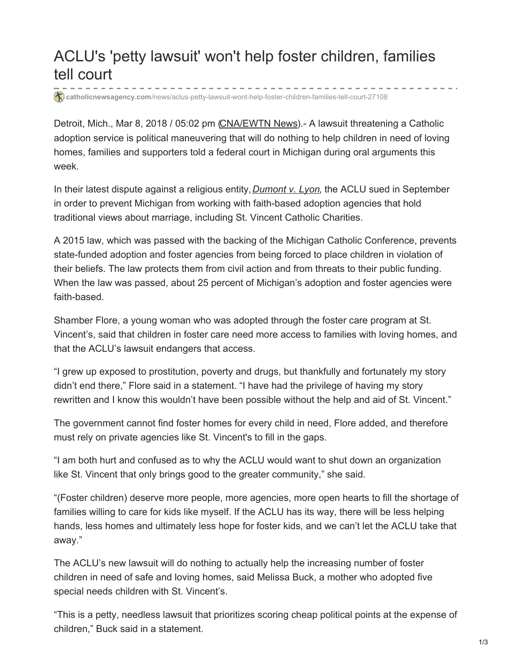## ACLU's 'petty lawsuit' won't help foster children, families tell court

**catholicnewsagency.com**/news/aclus-petty-lawsuit-wont-help-foster-children-families-tell-court-27108

Detroit, Mich., Mar 8, 2018 / 05:02 pm (CNA/EWTN News) - A lawsuit threatening a Catholic adoption service is political maneuvering that will do nothing to help children in need of loving homes, families and supporters told a federal court in Michigan during oral arguments this week.

In their latest dispute against a religious entity,*Dumont v. Lyon*, the ACLU sued in September in order to prevent Michigan from working with faith-based adoption agencies that hold traditional views about marriage, including St. Vincent Catholic Charities.

A 2015 law, which was passed with the backing of the Michigan Catholic Conference, prevents state-funded adoption and foster agencies from being forced to place children in violation of their beliefs. The law protects them from civil action and from threats to their public funding. When the law was passed, about 25 percent of Michigan's adoption and foster agencies were faith-based.

Shamber Flore, a young woman who was adopted through the foster care program at St. Vincent's, said that children in foster care need more access to families with loving homes, and that the ACLU's lawsuit endangers that access.

"I grew up exposed to prostitution, poverty and drugs, but thankfully and fortunately my story didn't end there," Flore said in a statement. "I have had the privilege of having my story rewritten and I know this wouldn't have been possible without the help and aid of St. Vincent."

The government cannot find foster homes for every child in need, Flore added, and therefore must rely on private agencies like St. Vincent's to fill in the gaps.

"I am both hurt and confused as to why the ACLU would want to shut down an organization like St. Vincent that only brings good to the greater community," she said.

"(Foster children) deserve more people, more agencies, more open hearts to fill the shortage of families willing to care for kids like myself. If the ACLU has its way, there will be less helping hands, less homes and ultimately less hope for foster kids, and we can't let the ACLU take that away."

The ACLU's new lawsuit will do nothing to actually help the increasing number of foster children in need of safe and loving homes, said Melissa Buck, a mother who adopted five special needs children with St. Vincent's.

"This is a petty, needless lawsuit that prioritizes scoring cheap political points at the expense of children," Buck said in a statement.